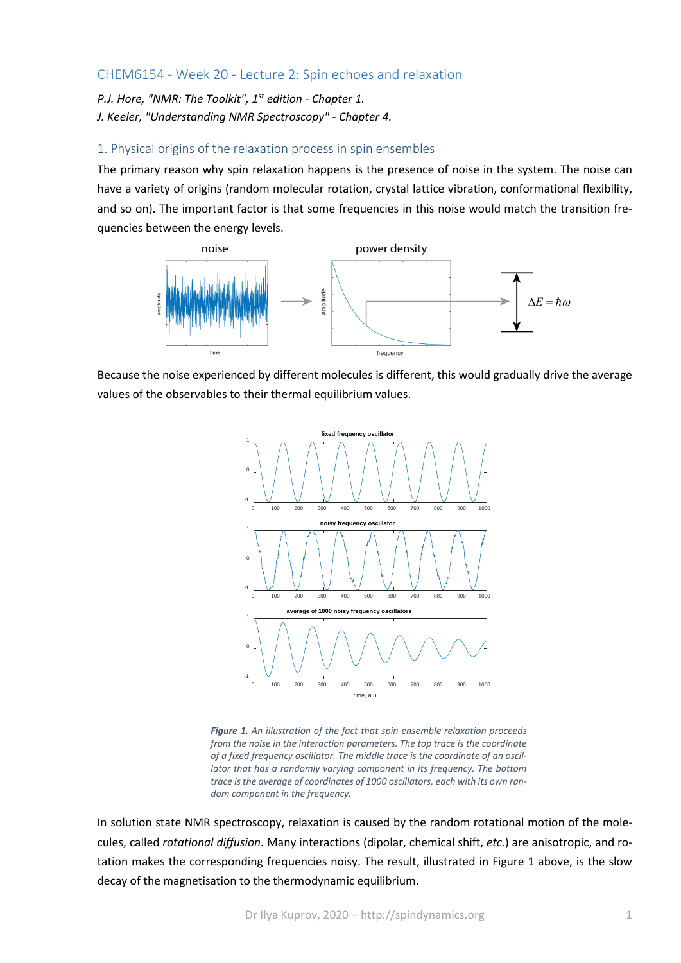# CHEM6154 - Week 20 - Lecture 2: Spin echoes and relaxation

*P.J. Hore, "NMR: The Toolkit", 1st edition - Chapter 1. J. Keeler, "Understanding NMR Spectroscopy" - Chapter 4.*

## 1. Physical origins of the relaxation process in spin ensembles

The primary reason why spin relaxation happens is the presence of noise in the system. The noise can have a variety of origins (random molecular rotation, crystal lattice vibration, conformational flexibility, and so on). The important factor is that some frequencies in this noise would match the transition frequencies between the energy levels.



Because the noise experienced by different molecules is different, this would gradually drive the average values of the observables to their thermal equilibrium values.



*Figure 1. An illustration of the fact that spin ensemble relaxation proceeds from the noise in the interaction parameters. The top trace is the coordinate of a fixed frequency oscillator. The middle trace is the coordinate of an oscillator that has a randomly varying component in its frequency. The bottom trace is the average of coordinates of 1000 oscillators, each with its own random component in the frequency.*

In solution state NMR spectroscopy, relaxation is caused by the random rotational motion of the molecules, called *rotational diffusion*. Many interactions (dipolar, chemical shift, *etc.*) are anisotropic, and rotation makes the corresponding frequencies noisy. The result, illustrated in Figure 1 above, is the slow decay of the magnetisation to the thermodynamic equilibrium.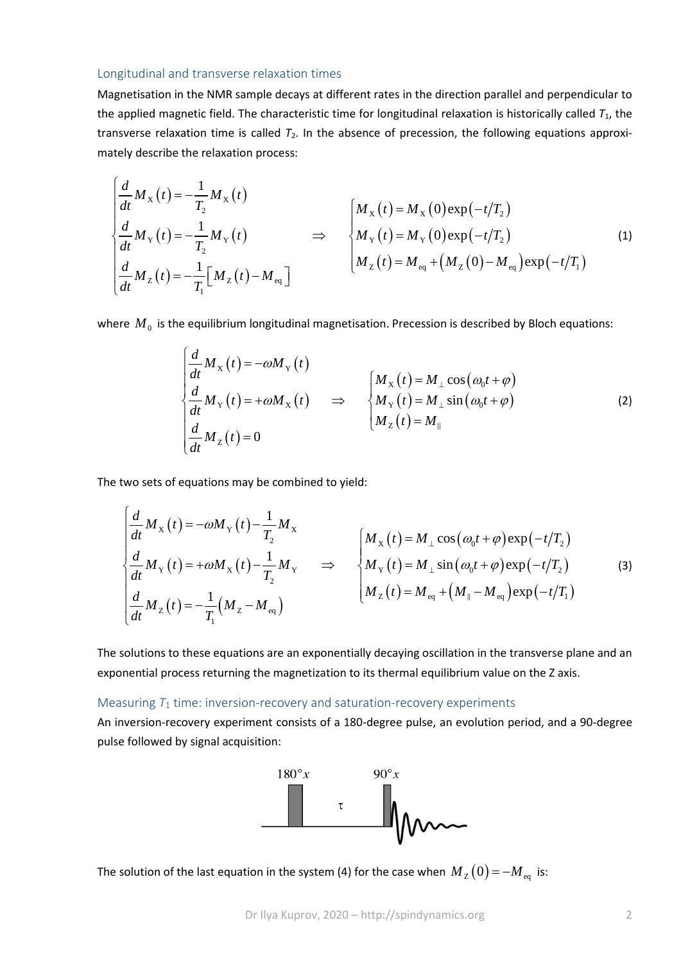#### Longitudinal and transverse relaxation times

Magnetisation in the NMR sample decays at different rates in the direction parallel and perpendicular to the applied magnetic field. The characteristic time for longitudinal relaxation is historically called *T*1, the transverse relaxation time is called  $T_2$ . In the absence of precession, the following equations approximately describe the relaxation process:

$$
\begin{cases}\n\frac{d}{dt}M_{X}(t) = -\frac{1}{T_{2}}M_{X}(t) \\
\frac{d}{dt}M_{Y}(t) = -\frac{1}{T_{2}}M_{Y}(t) \\
\frac{d}{dt}M_{Z}(t) = -\frac{1}{T_{1}}[M_{Z}(t) - M_{eq}]\n\end{cases}\n\Rightarrow\n\begin{cases}\nM_{X}(t) = M_{X}(0) \exp(-t/T_{2}) \\
M_{Y}(t) = M_{Y}(0) \exp(-t/T_{2}) \\
M_{Z}(t) = M_{eq} + (M_{Z}(0) - M_{eq}) \exp(-t/T_{1})\n\end{cases}
$$
\n(1)

where  $M_0$  is the equilibrium longitudinal magnetisation. Precession is described by Bloch equations:

$$
\begin{cases}\n\frac{d}{dt}M_{X}(t) = -\omega M_{Y}(t) \\
\frac{d}{dt}M_{Y}(t) = +\omega M_{X}(t) \quad \Rightarrow \quad \begin{cases}\nM_{X}(t) = M_{\perp}\cos(\omega_{0}t + \varphi) \\
M_{Y}(t) = M_{\perp}\sin(\omega_{0}t + \varphi) \\
M_{Z}(t) = M_{\parallel}\n\end{cases} \tag{2}
$$

The two sets of equations may be combined to yield:

$$
\begin{cases}\n\frac{d}{dt}M_{\mathbf{x}}(t) = -\omega M_{\mathbf{Y}}(t) - \frac{1}{T_2}M_{\mathbf{x}} \\
\frac{d}{dt}M_{\mathbf{Y}}(t) = +\omega M_{\mathbf{x}}(t) - \frac{1}{T_2}M_{\mathbf{Y}} \\
\frac{d}{dt}M_{\mathbf{Z}}(t) = -\frac{1}{T_1}(M_{\mathbf{Z}} - M_{\mathbf{eq}})\n\end{cases}\n\Rightarrow\n\begin{cases}\nM_{\mathbf{x}}(t) = M_{\perp}\cos(\omega_0 t + \varphi)\exp(-t/T_2) \\
M_{\mathbf{Y}}(t) = M_{\perp}\sin(\omega_0 t + \varphi)\exp(-t/T_2) \\
M_{\mathbf{Z}}(t) = M_{\mathbf{eq}} + (M_{\parallel} - M_{\mathbf{eq}})\exp(-t/T_1)\n\end{cases}
$$
\n(3)

The solutions to these equations are an exponentially decaying oscillation in the transverse plane and an exponential process returning the magnetization to its thermal equilibrium value on the Z axis.

## Measuring *T*<sup>1</sup> time: inversion-recovery and saturation-recovery experiments

An inversion-recovery experiment consists of a 180-degree pulse, an evolution period, and a 90-degree pulse followed by signal acquisition:



The solution of the last equation in the system (4) for the case when  $M_{\rm Z} (0)$  =  $-M_{\rm eq}$  is: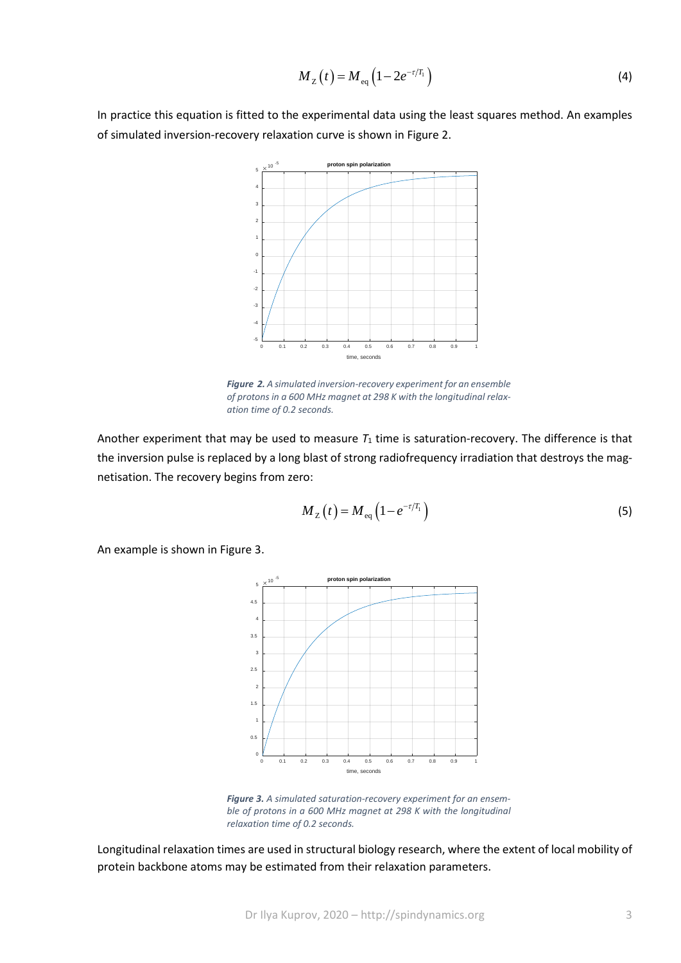$$
M_{Z}(t) = M_{\text{eq}}\left(1 - 2e^{-\tau/T_{1}}\right)
$$
 (4)

In practice this equation is fitted to the experimental data using the least squares method. An examples of simulated inversion-recovery relaxation curve is shown in Figure 2.



*Figure 2. A simulated inversion-recovery experiment for an ensemble of protons in a 600 MHz magnet at 298 K with the longitudinal relaxation time of 0.2 seconds.*

Another experiment that may be used to measure  $T_1$  time is saturation-recovery. The difference is that the inversion pulse is replaced by a long blast of strong radiofrequency irradiation that destroys the magnetisation. The recovery begins from zero:

$$
M_{Z}(t) = M_{\text{eq}}\left(1 - e^{-\tau/T_{1}}\right)
$$
\n(5)

An example is shown in Figure 3.



*Figure 3. A simulated saturation-recovery experiment for an ensemble of protons in a 600 MHz magnet at 298 K with the longitudinal relaxation time of 0.2 seconds.*

Longitudinal relaxation times are used in structural biology research, where the extent of local mobility of protein backbone atoms may be estimated from their relaxation parameters.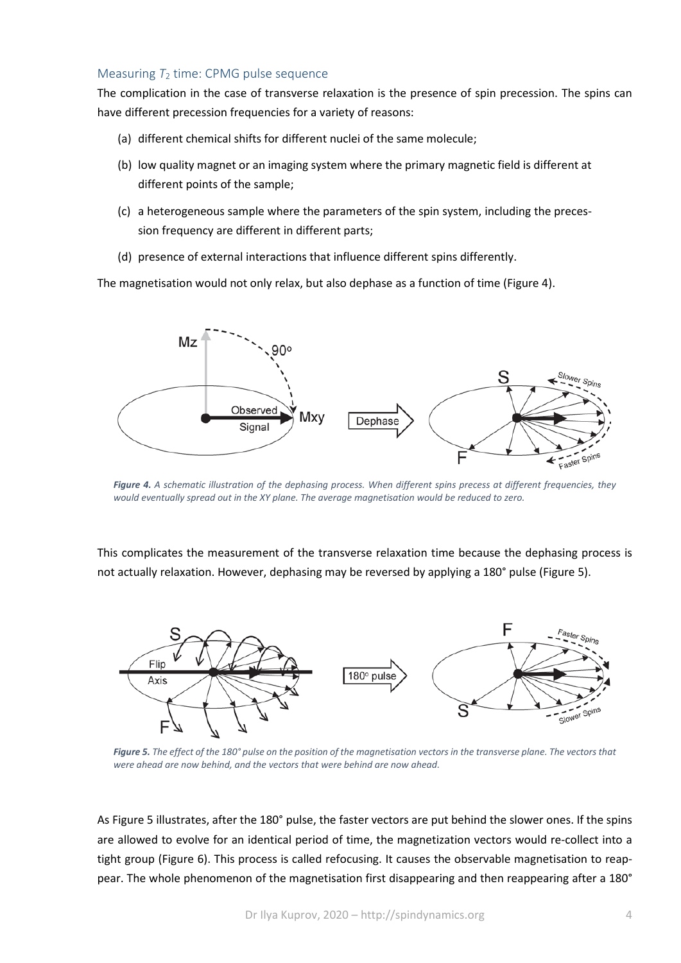## Measuring *T*<sup>2</sup> time: CPMG pulse sequence

The complication in the case of transverse relaxation is the presence of spin precession. The spins can have different precession frequencies for a variety of reasons:

- (a) different chemical shifts for different nuclei of the same molecule;
- (b) low quality magnet or an imaging system where the primary magnetic field is different at different points of the sample;
- (c) a heterogeneous sample where the parameters of the spin system, including the precession frequency are different in different parts;
- (d) presence of external interactions that influence different spins differently.

The magnetisation would not only relax, but also dephase as a function of time (Figure 4).



*Figure 4. A schematic illustration of the dephasing process. When different spins precess at different frequencies, they would eventually spread out in the XY plane. The average magnetisation would be reduced to zero.*

This complicates the measurement of the transverse relaxation time because the dephasing process is not actually relaxation. However, dephasing may be reversed by applying a 180° pulse (Figure 5).



*Figure 5. The effect of the 180° pulse on the position of the magnetisation vectors in the transverse plane. The vectors that were ahead are now behind, and the vectors that were behind are now ahead.*

As Figure 5 illustrates, after the 180° pulse, the faster vectors are put behind the slower ones. If the spins are allowed to evolve for an identical period of time, the magnetization vectors would re-collect into a tight group (Figure 6). This process is called refocusing. It causes the observable magnetisation to reappear. The whole phenomenon of the magnetisation first disappearing and then reappearing after a 180°